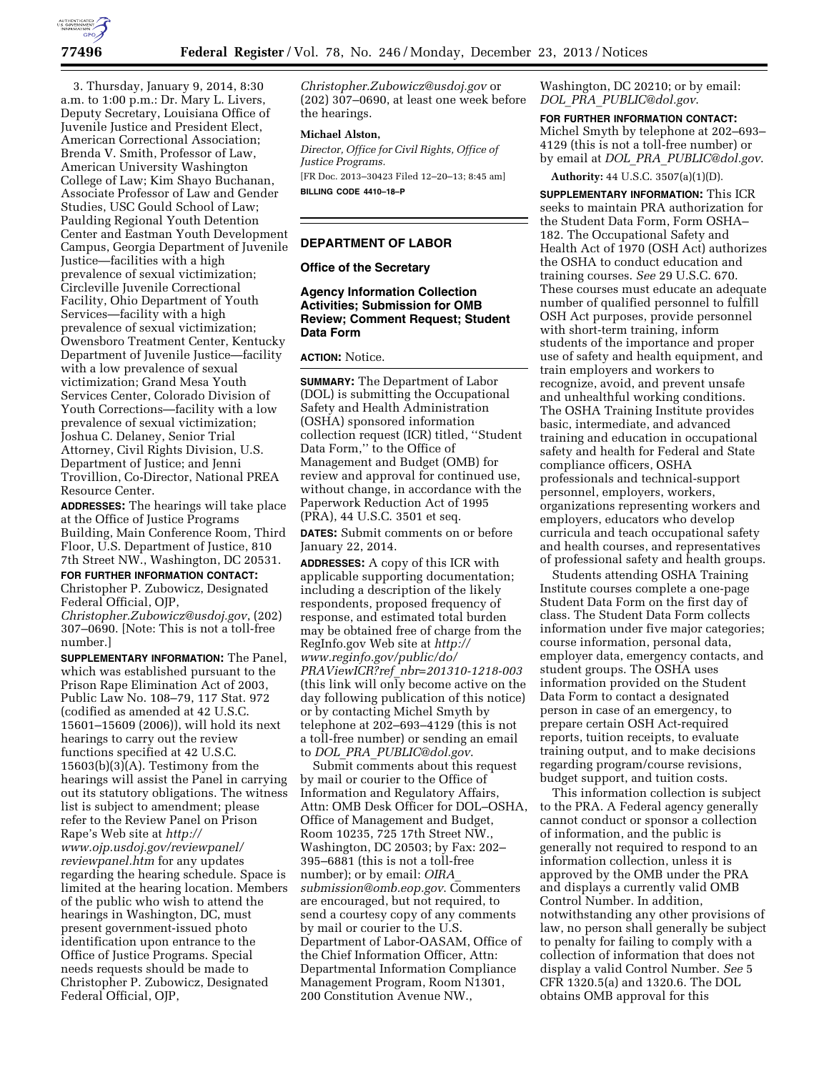

3. Thursday, January 9, 2014, 8:30 a.m. to 1:00 p.m.: Dr. Mary L. Livers, Deputy Secretary, Louisiana Office of Juvenile Justice and President Elect, American Correctional Association; Brenda V. Smith, Professor of Law, American University Washington College of Law; Kim Shayo Buchanan, Associate Professor of Law and Gender Studies, USC Gould School of Law; Paulding Regional Youth Detention Center and Eastman Youth Development Campus, Georgia Department of Juvenile Justice—facilities with a high prevalence of sexual victimization; Circleville Juvenile Correctional Facility, Ohio Department of Youth Services—facility with a high prevalence of sexual victimization; Owensboro Treatment Center, Kentucky Department of Juvenile Justice—facility with a low prevalence of sexual victimization; Grand Mesa Youth Services Center, Colorado Division of Youth Corrections—facility with a low prevalence of sexual victimization; Joshua C. Delaney, Senior Trial Attorney, Civil Rights Division, U.S. Department of Justice; and Jenni Trovillion, Co-Director, National PREA Resource Center.

**ADDRESSES:** The hearings will take place at the Office of Justice Programs Building, Main Conference Room, Third Floor, U.S. Department of Justice, 810 7th Street NW., Washington, DC 20531.

# **FOR FURTHER INFORMATION CONTACT:**

Christopher P. Zubowicz, Designated Federal Official, OJP,

*[Christopher.Zubowicz@usdoj.gov](mailto:Christopher.Zubowicz@usdoj.gov)*, (202) 307–0690. [Note: This is not a toll-free number.]

**SUPPLEMENTARY INFORMATION:** The Panel, which was established pursuant to the Prison Rape Elimination Act of 2003, Public Law No. 108–79, 117 Stat. 972 (codified as amended at 42 U.S.C. 15601–15609 (2006)), will hold its next hearings to carry out the review functions specified at 42 U.S.C. 15603(b)(3)(A). Testimony from the hearings will assist the Panel in carrying out its statutory obligations. The witness list is subject to amendment; please refer to the Review Panel on Prison Rape's Web site at *[http://](http://www.ojp.usdoj.gov/reviewpanel/reviewpanel.htm) [www.ojp.usdoj.gov/reviewpanel/](http://www.ojp.usdoj.gov/reviewpanel/reviewpanel.htm) [reviewpanel.htm](http://www.ojp.usdoj.gov/reviewpanel/reviewpanel.htm)* for any updates regarding the hearing schedule. Space is limited at the hearing location. Members of the public who wish to attend the hearings in Washington, DC, must present government-issued photo identification upon entrance to the Office of Justice Programs. Special needs requests should be made to Christopher P. Zubowicz, Designated Federal Official, OJP,

*[Christopher.Zubowicz@usdoj.gov](mailto:Christopher.Zubowicz@usdoj.gov)* or (202) 307–0690, at least one week before the hearings.

#### **Michael Alston,**

*Director, Office for Civil Rights, Office of Justice Programs.*  [FR Doc. 2013–30423 Filed 12–20–13; 8:45 am] **BILLING CODE 4410–18–P** 

## **DEPARTMENT OF LABOR**

## **Office of the Secretary**

# **Agency Information Collection Activities; Submission for OMB Review; Comment Request; Student Data Form**

### **ACTION:** Notice.

**SUMMARY:** The Department of Labor (DOL) is submitting the Occupational Safety and Health Administration (OSHA) sponsored information collection request (ICR) titled, ''Student Data Form,'' to the Office of Management and Budget (OMB) for review and approval for continued use, without change, in accordance with the Paperwork Reduction Act of 1995 (PRA), 44 U.S.C. 3501 et seq.

**DATES:** Submit comments on or before January 22, 2014.

**ADDRESSES:** A copy of this ICR with applicable supporting documentation; including a description of the likely respondents, proposed frequency of response, and estimated total burden may be obtained free of charge from the RegInfo.gov Web site at *[http://](http://www.reginfo.gov/public/do/PRAViewICR?ref_nbr=201310-1218-003) [www.reginfo.gov/public/do/](http://www.reginfo.gov/public/do/PRAViewICR?ref_nbr=201310-1218-003) PRAViewICR?ref*\_*[nbr=201310-1218-003](http://www.reginfo.gov/public/do/PRAViewICR?ref_nbr=201310-1218-003)*  (this link will only become active on the day following publication of this notice) or by contacting Michel Smyth by telephone at 202–693–4129 (this is not a toll-free number) or sending an email to *DOL*\_*PRA*\_*[PUBLIC@dol.gov](mailto:DOL_PRA_PUBLIC@dol.gov)*.

Submit comments about this request by mail or courier to the Office of Information and Regulatory Affairs, Attn: OMB Desk Officer for DOL–OSHA, Office of Management and Budget, Room 10235, 725 17th Street NW., Washington, DC 20503; by Fax: 202– 395–6881 (this is not a toll-free number); or by email: *[OIRA](mailto:OIRA_submission@omb.eop.gov)*\_ *[submission@omb.eop.gov](mailto:OIRA_submission@omb.eop.gov)*. Commenters are encouraged, but not required, to send a courtesy copy of any comments by mail or courier to the U.S. Department of Labor-OASAM, Office of the Chief Information Officer, Attn: Departmental Information Compliance Management Program, Room N1301, 200 Constitution Avenue NW.,

Washington, DC 20210; or by email: *DOL*\_*PRA*\_*[PUBLIC@dol.gov](mailto:DOL_PRA_PUBLIC@dol.gov)*.

#### **FOR FURTHER INFORMATION CONTACT:**

Michel Smyth by telephone at 202–693– 4129 (this is not a toll-free number) or by email at *DOL*\_*PRA*\_*[PUBLIC@dol.gov](mailto:DOL_PRA_PUBLIC@dol.gov)*.

**Authority:** 44 U.S.C. 3507(a)(1)(D).

**SUPPLEMENTARY INFORMATION:** This ICR seeks to maintain PRA authorization for the Student Data Form, Form OSHA– 182. The Occupational Safety and Health Act of 1970 (OSH Act) authorizes the OSHA to conduct education and training courses. *See* 29 U.S.C. 670. These courses must educate an adequate number of qualified personnel to fulfill OSH Act purposes, provide personnel with short-term training, inform students of the importance and proper use of safety and health equipment, and train employers and workers to recognize, avoid, and prevent unsafe and unhealthful working conditions. The OSHA Training Institute provides basic, intermediate, and advanced training and education in occupational safety and health for Federal and State compliance officers, OSHA professionals and technical-support personnel, employers, workers, organizations representing workers and employers, educators who develop curricula and teach occupational safety and health courses, and representatives of professional safety and health groups.

Students attending OSHA Training Institute courses complete a one-page Student Data Form on the first day of class. The Student Data Form collects information under five major categories; course information, personal data, employer data, emergency contacts, and student groups. The OSHA uses information provided on the Student Data Form to contact a designated person in case of an emergency, to prepare certain OSH Act-required reports, tuition receipts, to evaluate training output, and to make decisions regarding program/course revisions, budget support, and tuition costs.

This information collection is subject to the PRA. A Federal agency generally cannot conduct or sponsor a collection of information, and the public is generally not required to respond to an information collection, unless it is approved by the OMB under the PRA and displays a currently valid OMB Control Number. In addition, notwithstanding any other provisions of law, no person shall generally be subject to penalty for failing to comply with a collection of information that does not display a valid Control Number. *See* 5 CFR 1320.5(a) and 1320.6. The DOL obtains OMB approval for this